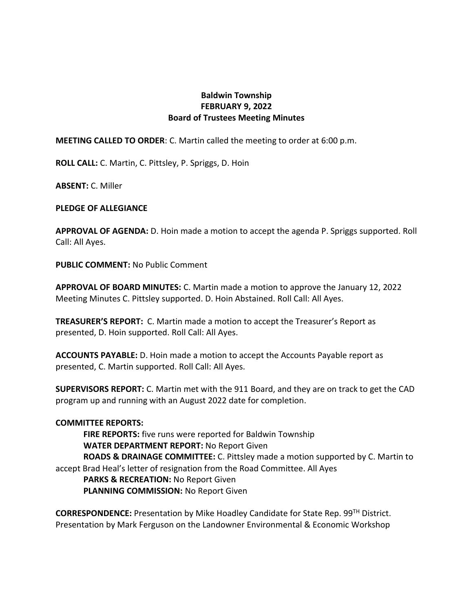## **Baldwin Township FEBRUARY 9, 2022 Board of Trustees Meeting Minutes**

**MEETING CALLED TO ORDER**: C. Martin called the meeting to order at 6:00 p.m.

**ROLL CALL:** C. Martin, C. Pittsley, P. Spriggs, D. Hoin

**ABSENT:** C. Miller

## **PLEDGE OF ALLEGIANCE**

**APPROVAL OF AGENDA:** D. Hoin made a motion to accept the agenda P. Spriggs supported. Roll Call: All Ayes.

**PUBLIC COMMENT:** No Public Comment

**APPROVAL OF BOARD MINUTES:** C. Martin made a motion to approve the January 12, 2022 Meeting Minutes C. Pittsley supported. D. Hoin Abstained. Roll Call: All Ayes.

**TREASURER'S REPORT:** C. Martin made a motion to accept the Treasurer's Report as presented, D. Hoin supported. Roll Call: All Ayes.

**ACCOUNTS PAYABLE:** D. Hoin made a motion to accept the Accounts Payable report as presented, C. Martin supported. Roll Call: All Ayes.

**SUPERVISORS REPORT:** C. Martin met with the 911 Board, and they are on track to get the CAD program up and running with an August 2022 date for completion.

## **COMMITTEE REPORTS:**

**FIRE REPORTS:** five runs were reported for Baldwin Township **WATER DEPARTMENT REPORT:** No Report Given **ROADS & DRAINAGE COMMITTEE:** C. Pittsley made a motion supported by C. Martin to accept Brad Heal's letter of resignation from the Road Committee. All Ayes **PARKS & RECREATION:** No Report Given **PLANNING COMMISSION:** No Report Given

**CORRESPONDENCE:** Presentation by Mike Hoadley Candidate for State Rep. 99TH District. Presentation by Mark Ferguson on the Landowner Environmental & Economic Workshop